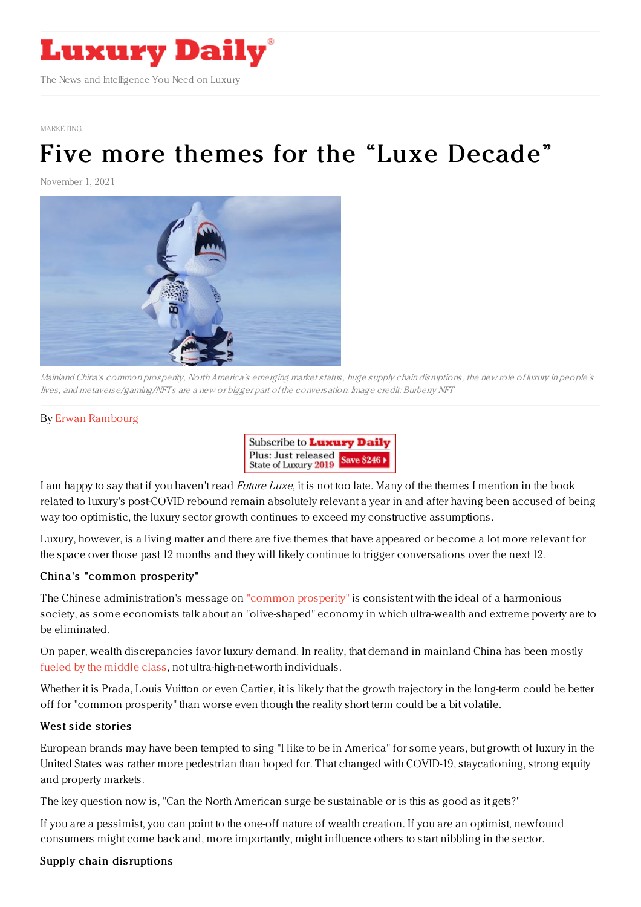

[MARKETING](https://www.luxurydaily.com/category/sectors/marketing-industry-sectors/)

# Five more themes for the "Luxe [Decade"](https://www.luxurydaily.com/five-more-themes-for-the-luxe-decade/)

November 1, 2021



Mainland China's common prosperity, NorthAmerica's emerging market status, huge supply chain disruptions, the new role of luxury in people's lives, and metaverse/gaming/NFTs are <sup>a</sup> new or bigger part of the conversation. Image credit: Burberry NFT

#### By Erwan [Rambourg](https://jingdaily.com/author/erwan-rambourg/)



I am happy to say that if you haven't read *Future Luxe*, it is not too late. Many of the themes I mention in the book related to luxury's post-COVID rebound remain absolutely relevant a year in and after having been accused of being way too optimistic, the luxury sector growth continues to exceed my constructive assumptions.

Luxury, however, is a living matter and there are five themes that have appeared or become a lot more relevant for the space over those past 12 months and they will likely continue to trigger conversations over the next 12.

#### China's "common pros perity"

The Chinese administration's message on "common [prosperity"](https://jingdaily.com/china-common-prosperity-middle-class-luxury/) is consistent with the ideal of a harmonious society, as some economists talk about an "olive-shaped" economy in which ultra-wealth and extreme poverty are to be eliminated.

On paper, wealth discrepancies favor luxury demand. In reality, that demand in mainland China has been mostly fueled by the [middle](https://jingdaily.com/luxury-brands-china-middle-class-lvmh/) class, not ultra-high-net-worth individuals.

Whether it is Prada, Louis Vuitton or even Cartier, it is likely that the growth trajectory in the long-term could be better off for "common prosperity" than worse even though the reality short term could be a bit volatile.

#### West side stories

European brands may have been tempted to sing "I like to be in America" for some years, but growth of luxury in the United States was rather more pedestrian than hoped for. That changed with COVID-19, staycationing, strong equity and property markets.

The key question now is, "Can the North American surge be sustainable or is this as good as it gets?"

If you are a pessimist, you can point to the one-off nature of wealth creation. If you are an optimist, newfound consumers might come back and, more importantly, might influence others to start nibbling in the sector.

### Supply chain disruptions